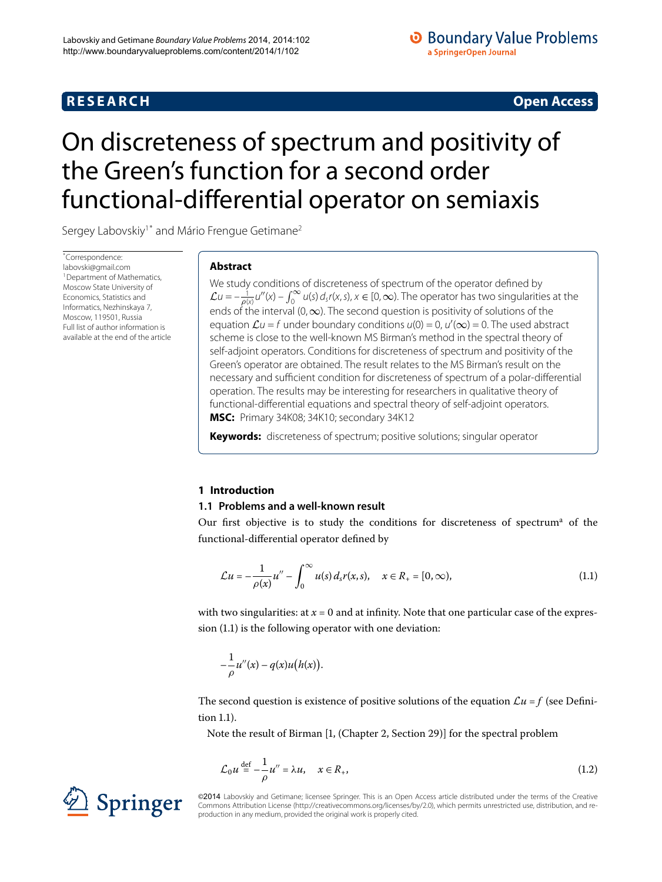# **R E S E A R C H Open Access**

# <span id="page-0-0"></span>On discreteness of spectrum and positivity of the Green's function for a second order functional-differential operator on semiaxis

Sergey Labovskiy<sup>[1](#page-16-0)[\\*](#page-0-0)</sup> and Mário Frengue Getimane<sup>2</sup>

\* Correspondence: [labovski@gmail.com](mailto:labovski@gmail.com) <sup>1</sup> Department of Mathematics, Moscow State University of Economics, Statistics and Informatics, Nezhinskaya 7, Moscow, 119501, Russia Full list of author information is available at the end of the article

# **Abstract**

We study conditions of discreteness of spectrum of the operator defined by  $\mathcal{L}u=-\frac{1}{\rho(x)}u''(x)-\int_0^\infty u(s)\,d_sf(x,s),$   $x\in[0,\infty).$  The operator has two singularities at the ends of the interval (0, $\infty$ ). The second question is positivity of solutions of the equation  $\mathcal{L}u = f$  under boundary conditions  $u(0) = 0$ ,  $u'(\infty) = 0$ . The used abstract scheme is close to the well-known MS Birman's method in the spectral theory of self-adjoint operators. Conditions for discreteness of spectrum and positivity of the Green's operator are obtained. The result relates to the MS Birman's result on the necessary and sufficient condition for discreteness of spectrum of a polar-differential operation. The results may be interesting for researchers in qualitative theory of functional-differential equations and spectral theory of self-adjoint operators. **MSC:** Primary 34K08; 34K10; secondary 34K12

<span id="page-0-3"></span>**Keywords:** discreteness of spectrum; positive solutions; singular operator

# **1 Introduction**

#### **1.1 Problems and a well-known result**

Our first objective is to study the conditions for discreteness of spectrum<sup>[a](#page-17-0)</sup> of the functional-differential operator defined by

<span id="page-0-1"></span>
$$
\mathcal{L}u = -\frac{1}{\rho(x)}u'' - \int_0^\infty u(s) \, d_s r(x, s), \quad x \in R_+ = [0, \infty), \tag{1.1}
$$

with two singularities: at  $x = 0$  and at infinity. Note that one particular case of the expression  $(1.1)$  $(1.1)$  $(1.1)$  is the following operator with one deviation:

<span id="page-0-2"></span>
$$
-\frac{1}{\rho}u''(x)-q(x)u\big(h(x)\big).
$$

The second question is existence of positive solutions of the equation  $\mathcal{L}u = f$  (see Definition  $1.1$ ).

Note the result of Birman [1[,](#page-17-1) (Chapter 2, Section 29)] for the spectral problem

$$
\mathcal{L}_0 u \stackrel{\text{def}}{=} -\frac{1}{\rho} u'' = \lambda u, \quad x \in R_+, \tag{1.2}
$$



©2014 Labovskiy and Getimane; licensee Springer. This is an Open Access article distributed under the terms of the Creative Commons Attribution License (<http://creativecommons.org/licenses/by/2.0>), which permits unrestricted use, distribution, and reproduction in any medium, provided the original work is properly cited.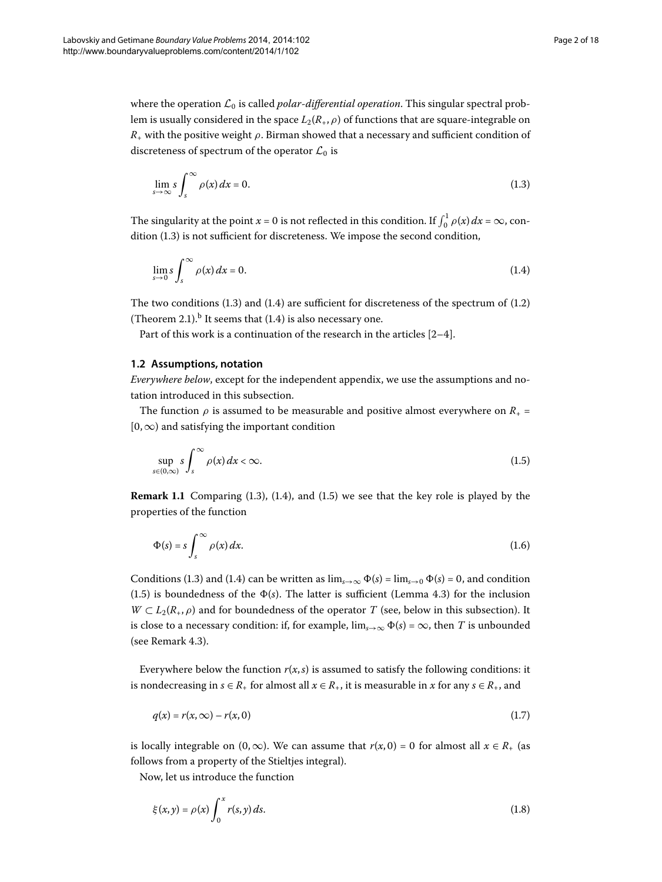where the operation  $\mathcal{L}_0$  is called *polar-differential operation*. This singular spectral problem is usually considered in the space  $L_2(R_+,\rho)$  of functions that are square-integrable on *R*<sup>+</sup> with the positive weight *ρ*. Birman showed that a necessary and sufficient condition of discreteness of spectrum of the operator  $\mathcal{L}_0$  is

<span id="page-1-1"></span><span id="page-1-0"></span>
$$
\lim_{s \to \infty} s \int_s^{\infty} \rho(x) dx = 0.
$$
\n(1.3)

The singularity at the point  $x = 0$  is not reflected in this condition. If  $\int_0^1 \rho(x) dx = \infty$ , con $dition (1.3)$  is not sufficient for discreteness. We impose the second condition,

$$
\lim_{s \to 0} s \int_s^\infty \rho(x) \, dx = 0. \tag{1.4}
$$

<span id="page-1-6"></span>The two conditions  $(1.3)$  $(1.3)$  $(1.3)$  and  $(1.4)$  are sufficient for discreteness of the spectrum of  $(1.2)$ (Theorem 2[.](#page-1-1)1).<sup>[b](#page-17-2)</sup> It seems that (1.4) is also necessary one.

Part of this work is a continuation of the research in the articles  $[2-4]$  $[2-4]$ .

#### **1.2 Assumptions, notation**

*Everywhere below*, except for the independent appendix, we use the assumptions and notation introduced in this subsection.

The function  $\rho$  is assumed to be measurable and positive almost everywhere on  $R_{+}$  =  $[0, \infty)$  and satisfying the important condition

<span id="page-1-5"></span><span id="page-1-2"></span>
$$
\sup_{s \in (0,\infty)} s \int_s^\infty \rho(x) \, dx < \infty. \tag{1.5}
$$

**Remark 1[.](#page-1-2)1** Comparing (1.3), (1.4), and (1.5) we see that the key role is played by the properties of the function

<span id="page-1-3"></span>
$$
\Phi(s) = s \int_{s}^{\infty} \rho(x) dx.
$$
\n(1.6)

Conditions (1.3) and (1.4) can be written as  $\lim_{s\to\infty} \Phi(s) = \lim_{s\to 0} \Phi(s) = 0$ , and condition (1[.](#page-1-2)5) is boundedness of the  $\Phi(s)$ . The latter is sufficient (Lemma 4.3) for the inclusion  $W \subset L_2(R_+,\rho)$  and for boundedness of the operator *T* (see, below in this subsection). It is close to a necessary condition: if, for example,  $\lim_{s\to\infty} \Phi(s) = \infty$ , then *T* is unbounded (see Remark  $4.3$  $4.3$  $4.3$ ).

Everywhere below the function  $r(x, s)$  is assumed to satisfy the following conditions: it is nondecreasing in  $s \in R_+$  for almost all  $x \in R_+$ , it is measurable in  $x$  for any  $s \in R_+$ , and

<span id="page-1-4"></span>
$$
q(x) = r(x, \infty) - r(x, 0)
$$
\n(1.7)

is locally integrable on  $(0, \infty)$ . We can assume that  $r(x, 0) = 0$  for almost all  $x \in R_+$  (as follows from a property of the Stieltjes integral).

Now, let us introduce the function

$$
\xi(x,y) = \rho(x) \int_0^x r(s,y) ds. \tag{1.8}
$$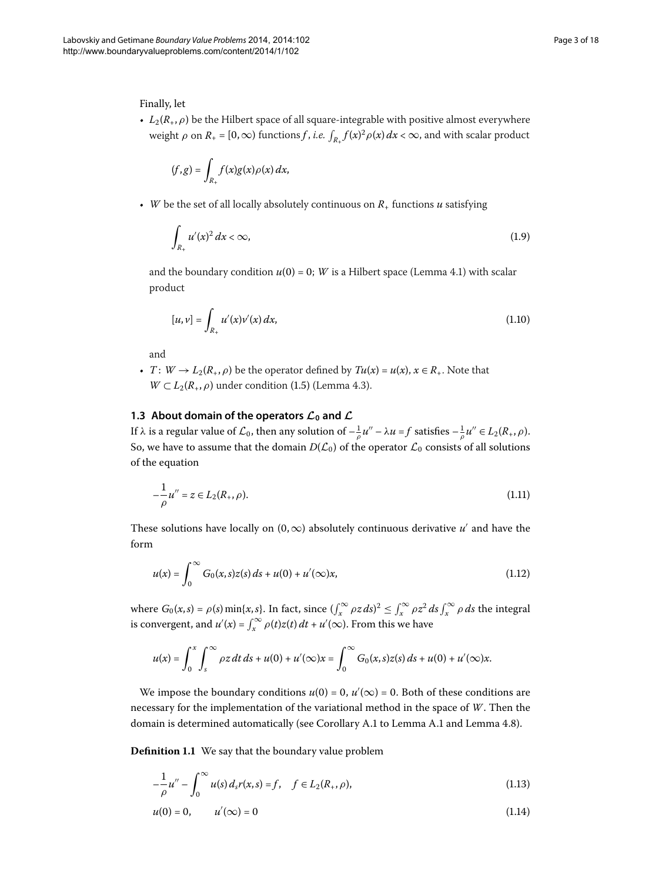#### Finally, let

•  $L_2(R_+, \rho)$  be the Hilbert space of all square-integrable with positive almost everywhere weight  $\rho$  on  $R_+ = [0, \infty)$  functions *f* , *i.e.*  $\int_{R_+} f(x)^2 \rho(x) dx < \infty$ , and with scalar product

$$
(f,g)=\int_{R_+}f(x)g(x)\rho(x)\,dx,
$$

• *W* be the set of all locally absolutely continuous on  $R_{+}$  functions *u* satisfying

$$
\int_{R_+} u'(x)^2 dx < \infty,
$$
\n(1.9)

and the boundary condition  $u(0) = 0$ ; *W* is a Hilbert space (Lemma 4[.](#page-7-0)1) with scalar product

$$
[u, v] = \int_{R_+} u'(x)v'(x) dx,
$$
\n(1.10)

and

• *T*:  $W \rightarrow L_2(R_+, \rho)$  be the operator defined by  $Tu(x) = u(x), x \in R_+$ . Note that  $W \subset L_2(R_+, \rho)$  under condition (1.5) (Lemma 4.3).

#### **1.3 About domain of the operators**  $\mathcal{L}_0$  **and**  $\mathcal{L}$

If  $\lambda$  is a regular value of  $\mathcal{L}_0$ , then any solution of  $-\frac{1}{\rho}u''-\lambda u=f$  satisfies  $-\frac{1}{\rho}u''\in L_2(R_+,\rho).$ So, we have to assume that the domain  $D(\mathcal{L}_0)$  of the operator  $\mathcal{L}_0$  consists of all solutions of the equation

$$
-\frac{1}{\rho}u'' = z \in L_2(R_+,\rho).
$$
\n(1.11)

These solutions have locally on  $(0, \infty)$  absolutely continuous derivative  $u'$  and have the form

$$
u(x) = \int_0^\infty G_0(x, s)z(s) \, ds + u(0) + u'(\infty)x,\tag{1.12}
$$

where  $G_0(x, s) = \rho(s) \min\{x, s\}$ . In fact, since  $(\int_x^{\infty} \rho z \, ds)^2 \leq \int_x^{\infty} \rho z^2 \, ds \int_x^{\infty} \rho \, ds$  the integral is convergent, and  $u'(x) = \int_x^{\infty} \rho(t)z(t) dt + u'(\infty)$ . From this we have

<span id="page-2-2"></span><span id="page-2-1"></span><span id="page-2-0"></span>
$$
u(x) = \int_0^x \int_s^{\infty} \rho z \, dt \, ds + u(0) + u'(\infty)x = \int_0^{\infty} G_0(x, s)z(s) \, ds + u(0) + u'(\infty)x.
$$

We impose the boundary conditions  $u(0) = 0$ ,  $u'(\infty) = 0$ . Both of these conditions are necessary for the implementation of the variational method in the space of *W*. Then the domain is determined automatically (see Corollary [A.](#page-13-1)1 to Lemma A.1 and Lemma 4.8).

**Definition 1.1** We say that the boundary value problem

$$
-\frac{1}{\rho}u'' - \int_0^\infty u(s) \, d_s r(x, s) = f, \quad f \in L_2(R_+, \rho), \tag{1.13}
$$

$$
u(0) = 0, \qquad u'(\infty) = 0 \tag{1.14}
$$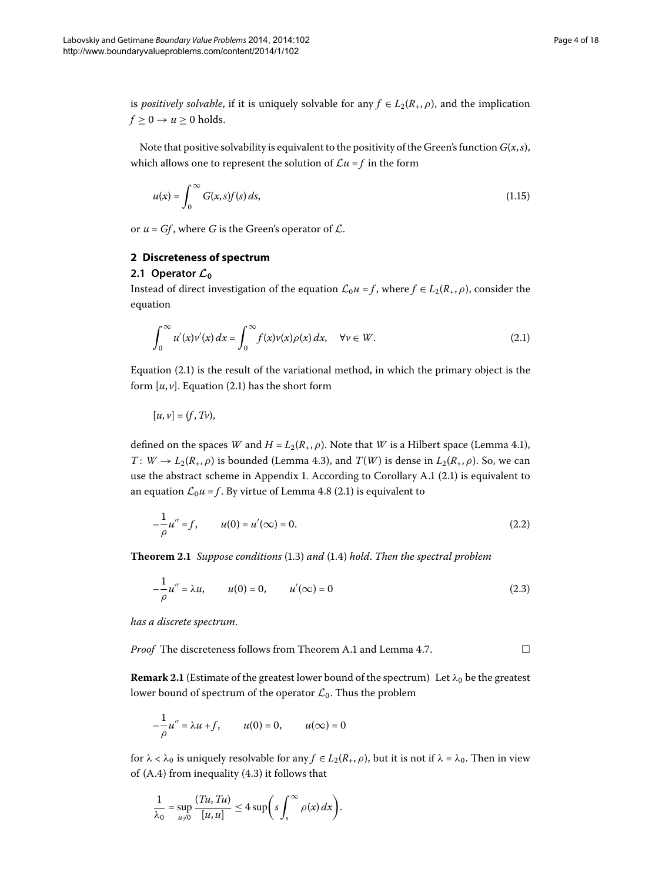is *positively solvable*, if it is uniquely solvable for any  $f \in L_2(R_+, \rho)$ , and the implication  $f \geq 0 \rightarrow u \geq 0$  holds.

Note that positive solvability is equivalent to the positivity of the Green's function  $G(x, s)$ , which allows one to represent the solution of  $\mathcal{L}u = f$  in the form

<span id="page-3-1"></span>
$$
u(x) = \int_0^\infty G(x, s) f(s) ds,
$$
\n(1.15)

or  $u = Gf$ , where *G* is the Green's operator of  $\mathcal{L}$ .

#### **2 Discreteness of spectrum**

# 2.1 Operator  $\mathcal{L}_0$

Instead of direct investigation of the equation  $\mathcal{L}_0 u = f$ , where  $f \in L_2(R_+, \rho)$ , consider the equation

$$
\int_0^\infty u'(x)v'(x) dx = \int_0^\infty f(x)v(x)\rho(x) dx, \quad \forall v \in W.
$$
\n(2.1)

Equation  $(2.1)$  is the result of the variational method, in which the primary object is the form  $[u, v]$ [.](#page-3-1) Equation (2.1) has the short form

<span id="page-3-3"></span>
$$
[u,v]=(f,Tv),
$$

<span id="page-3-0"></span>defined on the spaces *W* and  $H = L_2(R_+, \rho)$ . Note that *W* is a Hilbert space (Lemma 4.1), *T* :  $W \to L_2(R_*, \rho)$  is bounded (Lemma 4[.](#page-8-0)3), and *T*(*W*) is dense in  $L_2(R_*, \rho)$ . So, we can use the abstract scheme in Appendix 1[.](#page-13-2) According to Corollary [A.](#page-13-0)1 (2.1) is equivalent to an equation  $\mathcal{L}_0 u = f$ [.](#page-3-1) By virtue of Lemma 4.8 (2.1) is equivalent to

$$
-\frac{1}{\rho}u'' = f, \qquad u(0) = u'(\infty) = 0.
$$
 (2.2)

**Theorem 2[.](#page-1-1)1** *Suppose conditions* (1.3) *and* (1.4) *hold*. *Then the spectral problem* 

<span id="page-3-2"></span>
$$
-\frac{1}{\rho}u'' = \lambda u, \qquad u(0) = 0, \qquad u'(\infty) = 0 \tag{2.3}
$$

*has a discrete spectrum*.

*Proof* The discreteness follows from Theorem [A.](#page-14-0)1 and Lemma 4.7.  $\Box$ 

**Remark 2.1** (Estimate of the greatest lower bound of the spectrum) Let  $\lambda_0$  be the greatest lower bound of spectrum of the operator  $\mathcal{L}_0$ . Thus the problem

$$
-\frac{1}{\rho}u'' = \lambda u + f, \qquad u(0) = 0, \qquad u(\infty) = 0
$$

for  $\lambda < \lambda_0$  is uniquely resolvable for any  $f \in L_2(R_+, \rho)$ , but it is not if  $\lambda = \lambda_0$ . Then in view of  $(A.4)$  $(A.4)$  $(A.4)$  from inequality  $(4.3)$  it follows that

$$
\frac{1}{\lambda_0} = \sup_{u \neq 0} \frac{(Tu, Tu)}{[u, u]} \leq 4 \sup \biggl( s \int_s^{\infty} \rho(x) \, dx \biggr).
$$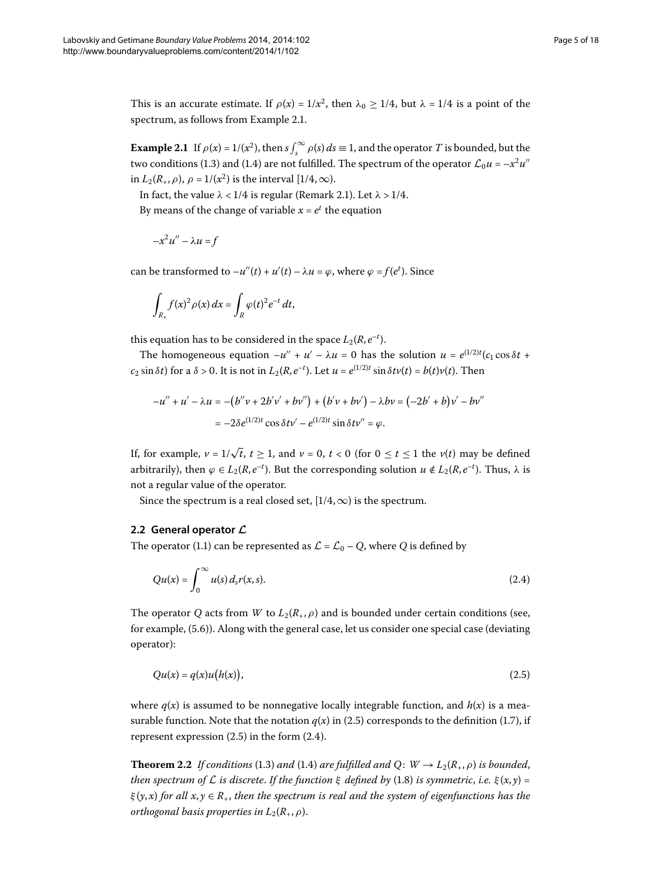<span id="page-4-0"></span>This is an accurate estimate. If  $\rho(x) = 1/x^2$ , then  $\lambda_0 \ge 1/4$ , but  $\lambda = 1/4$  is a point of the spectrum, as follows from Example 2.1.

**Example 2.1** If  $\rho(x) = 1/(x^2)$ , then  $s \int_s^{\infty} \rho(s) ds \equiv 1$ , and the operator *T* is bounded, but the two conditions (1[.](#page-1-1)3) and (1.4) are not fulfilled. The spectrum of the operator  $\mathcal{L}_0 u = -x^2 u''$ in  $L_2(R_+,\rho)$ ,  $\rho = 1/(x^2)$  is the interval [1/4,  $\infty$ ).

In fact, the value  $\lambda < 1/4$  is regular (Remark 2[.](#page-3-2)1). Let  $\lambda > 1/4$ .

By means of the change of variable  $x = e^t$  the equation

$$
-x^2u'' - \lambda u = f
$$

can be transformed to  $-u''(t) + u'(t) - \lambda u = \varphi$ , where  $\varphi = f(e^t)$ . Since

$$
\int_{R_+} f(x)^2 \rho(x) dx = \int_R \varphi(t)^2 e^{-t} dt,
$$

this equation has to be considered in the space  $L_2(R, e^{-t})$ .

The homogeneous equation  $-u'' + u' - \lambda u = 0$  has the solution  $u = e^{(1/2)t} (c_1 \cos \delta t +$  $c_2 \sin \delta t$ ) for a  $\delta > 0$ . It is not in  $L_2(R, e^{-t})$ . Let  $u = e^{(1/2)t} \sin \delta t$  $v(t) = b(t)v(t)$ . Then

<span id="page-4-2"></span>
$$
-u'' + u' - \lambda u = -(b''v + 2b'v' + bv'') + (b'v + bv') - \lambda bv = (-2b' + b)v' - bv''
$$
  
= -2\delta e^{(1/2)t} \cos \delta tv' - e^{(1/2)t} \sin \delta tv'' = \varphi.

If, for example,  $v = 1/\sqrt{t}$ ,  $t \ge 1$ , and  $v = 0$ ,  $t < 0$  (for  $0 \le t \le 1$  the  $v(t)$  may be defined arbitrarily), then  $\varphi \in L_2(R, e^{-t})$ . But the corresponding solution  $u \notin L_2(R, e^{-t})$ . Thus,  $\lambda$  is not a regular value of the operator.

Since the spectrum is a real closed set,  $[1/4,\infty)$  is the spectrum.

# **2.2 General operator** *L*

The operator (1[.](#page-0-1)1) can be represented as  $\mathcal{L} = \mathcal{L}_0 - Q$ , where *Q* is defined by

<span id="page-4-1"></span>
$$
Qu(x) = \int_0^\infty u(s) d_s r(x, s).
$$
 (2.4)

The operator *Q* acts from *W* to  $L_2(R_+,\rho)$  and is bounded under certain conditions (see, for example,  $(5.6)$  $(5.6)$  $(5.6)$ ). Along with the general case, let us consider one special case (deviating operator):

$$
Qu(x) = q(x)u(h(x)),
$$
\n<sup>(2.5)</sup>

where  $q(x)$  is assumed to be nonnegative locally integrable function, and  $h(x)$  is a mea-surable function[.](#page-1-3) Note that the notation  $q(x)$  in (2.5) corresponds to the definition (1.7), if represent expression  $(2.5)$  $(2.5)$  $(2.5)$  in the form  $(2.4)$ .

**Theorem 2[.](#page-1-1)2** *If conditions* (1.3) *and* (1.4) *are fulfilled and* O:  $W \rightarrow L_2(R_+, \rho)$  *is bounded*, *then spectrum of*  $\mathcal L$  *is discrete. If the function*  $\xi$  *defined by* (1.8) *is symmetric, i.e.*  $\xi(x, y) =$ *ξ* (*y*, *x*) *for all x*, *y* ∈ *R*+, *then the spectrum is real and the system of eigenfunctions has the orthogonal basis properties in*  $L_2(R_+,\rho)$ .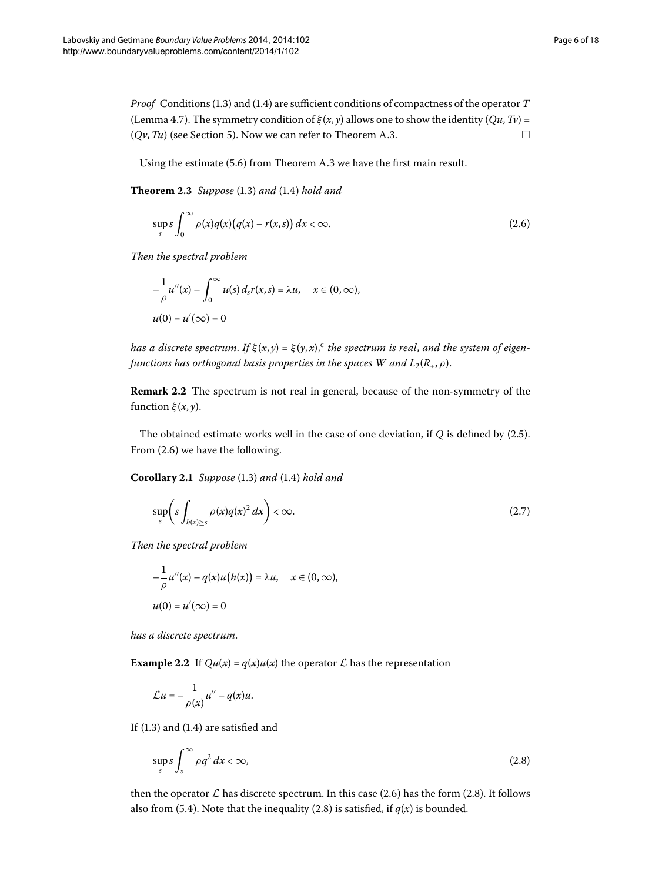*Proof* Conditions (1.3) and (1.4) are sufficient conditions of compactness of the operator T (Lemma 4.7). The symmetry condition of  $\xi(x, y)$  allows one to show the identity (*Qu*, *Tv*) =  $(Qv, Tu)$  (see Section 5). Now we can refer to Theorem A.3.

Using the estimate (5.6) from Theorem [A.](#page-15-0)3 we have the first main result.

**Theorem 2.3** Suppose (1.3) and (1.4) hold and

<span id="page-5-0"></span>
$$
\sup_{s} s \int_{0}^{\infty} \rho(x) q(x) (q(x) - r(x, s)) dx < \infty.
$$
 (2.6)

*Then the spectral problem*

$$
-\frac{1}{\rho}u''(x) - \int_0^\infty u(s) d_s r(x, s) = \lambda u, \quad x \in (0, \infty),
$$
  

$$
u(0) = u'(\infty) = 0
$$

*has a dis[c](#page-17-5)rete spectrum. If*  $\xi(x, y) = \xi(y, x)$ , *c the spectrum is real, and the system of eigenfunctions has orthogonal basis properties in the spaces W and*  $L_2(R_+,\rho)$ *.* 

**Remark 2.2** The spectrum is not real in general, because of the non-symmetry of the function  $\xi(x, y)$ .

The obtained estimate works well in the case of one deviation, if  $Q$  is defined by  $(2.5)$ . From  $(2.6)$  we have the following.

**Corollary 2.1** Suppose (1.3) and (1.4) hold and

$$
\sup_{s} \left( s \int_{h(x) \ge s} \rho(x) q(x)^2 dx \right) < \infty. \tag{2.7}
$$

*Then the spectral problem*

$$
-\frac{1}{\rho}u''(x) - q(x)u(h(x)) = \lambda u, \quad x \in (0, \infty),
$$
  

$$
u(0) = u'(\infty) = 0
$$

*has a discrete spectrum*.

**Example 2.2** If  $Qu(x) = q(x)u(x)$  the operator  $\mathcal L$  has the representation

<span id="page-5-1"></span>
$$
\mathcal{L}u=-\frac{1}{\rho(x)}u''-q(x)u.
$$

If  $(1.3)$  $(1.3)$  $(1.3)$  and  $(1.4)$  are satisfied and

$$
\sup_{s} s \int_{s}^{\infty} \rho q^2 dx < \infty,
$$
\n(2.8)

then the operator  $\mathcal L$  has discrete spectrum. In this case (2.6) has the form (2.8). It follows also from (5[.](#page-5-1)4). Note that the inequality (2.8) is satisfied, if  $q(x)$  is bounded.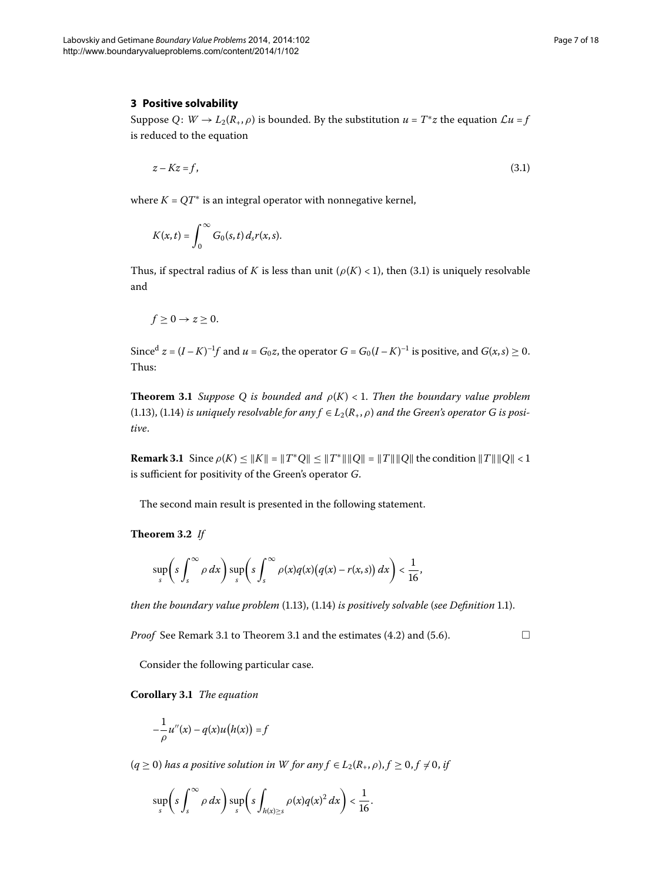#### <span id="page-6-3"></span>**3 Positive solvability**

Suppose *Q*:  $W \rightarrow L_2(R_*, \rho)$  is bounded. By the substitution  $u = T^*z$  the equation  $\mathcal{L}u = f$ is reduced to the equation

<span id="page-6-0"></span>
$$
z - Kz = f,\tag{3.1}
$$

where  $K = QT^*$  is an integral operator with nonnegative kernel,

$$
K(x,t)=\int_0^\infty G_0(s,t)\,d_s r(x,s).
$$

<span id="page-6-2"></span>Thus, if spectral radius of *K* is less than unit ( $\rho(K) < 1$ ), then (3.1) is uniquely resolvable and

$$
f\geq 0\rightarrow z\geq 0.
$$

<span id="page-6-1"></span>Since<sup>d</sup>  $z = (I - K)^{-1}f$  and  $u = G_0z$ , the operator  $G = G_0(I - K)^{-1}$  is positive, and  $G(x, s) \ge 0$ . Thus:

**Theorem 3.1** *Suppose Q is bounded and*  $\rho(K) < 1$ *. Then the boundary value problem* (1[.](#page-2-1)13), (1.14) *is uniquely resolvable for any*  $f \in L_2(R_+, \rho)$  *and the Green's operator G is positive*.

**Remark 3.1** Since  $\rho(K) \le ||K|| = ||T^*Q|| \le ||T^*|| ||Q|| = ||T|| ||Q||$  the condition  $||T|| ||Q|| < 1$ is sufficient for positivity of the Green's operator *G*.

The second main result is presented in the following statement.

**Theorem 3.2** If

$$
\sup_{s}\left(s\int_{s}^{\infty}\rho\,dx\right)\sup_{s}\left(s\int_{s}^{\infty}\rho(x)q(x)\big(q(x)-r(x,s)\big)\,dx\right)<\frac{1}{16},
$$

*then the boundary value problem* (1[.](#page-2-0)13), (1.14) *is positively solvable* (*see Definition* 1.1).

*Proof* See Remark 3[.](#page-8-3)1 to Theorem 3.1 and the estimates  $(4.2)$  and  $(5.6)$ .

Consider the following particular case.

**Corollary .** *The equation*

$$
-\frac{1}{\rho}u''(x) - q(x)u(h(x)) = f
$$

 $(q \ge 0)$  has a positive solution in W for any  $f \in L_2(R_+, \rho), f \ge 0, f \ne 0$ , if

$$
\sup_s\left(s\int_s^\infty \rho\ dx\right)\sup_s\left(s\int_{h(x)\geq s}\rho(x)q(x)^2\ dx\right)<\frac{1}{16}.
$$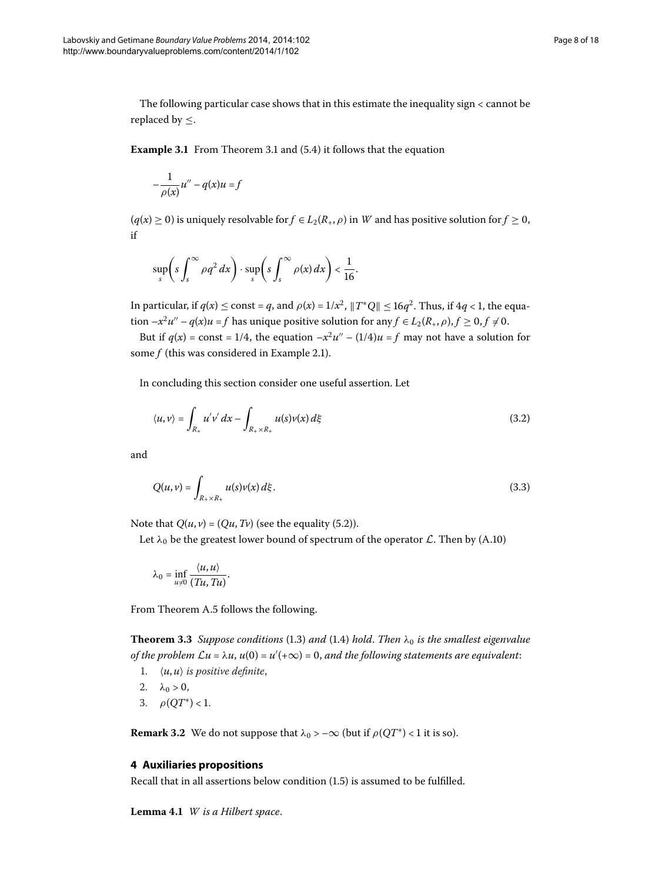The following particular case shows that in this estimate the inequality sign < cannot be replaced by  $\leq$ .

**Example 3[.](#page-6-2)1** From Theorem 3.1 and (5.4) it follows that the equation

$$
-\frac{1}{\rho(x)}u''-q(x)u=f
$$

 $(q(x) \ge 0)$  is uniquely resolvable for  $f \in L_2(R_+, \rho)$  in W and has positive solution for  $f \ge 0$ , if

$$
\sup_{s} \left( s \int_{s}^{\infty} \rho q^{2} dx \right) \cdot \sup_{s} \left( s \int_{s}^{\infty} \rho(x) dx \right) < \frac{1}{16}.
$$

In particular, if  $q(x) \leq \text{const} = q$ , and  $\rho(x) = 1/x^2$ ,  $||T^*Q|| \leq 16q^2$ . Thus, if  $4q < 1$ , the equation  $-x^2u'' - q(x)u = f$  has unique positive solution for any  $f \in L_2(R_+, \rho), f \ge 0, f \ne 0$ .

But if  $q(x) = \text{const} = 1/4$ , the equation  $-x^2u'' - (1/4)u = f$  may not have a solution for some  $f$  (this was considered in Example 2.1).

In concluding this section consider one useful assertion. Let

$$
\langle u, v \rangle = \int_{R_+} u'v' dx - \int_{R_+ \times R_+} u(s)v(x) d\xi \tag{3.2}
$$

and

$$
Q(u, v) = \int_{R_+ \times R_+} u(s)v(x) \, d\xi. \tag{3.3}
$$

Note that  $Q(u, v) = (Qu, Tv)$  (see the equality (5.2)).

Let  $\lambda_0$  be the greatest lower bound of spectrum of the operator  $\mathcal{L}$ . Then by (A.10)

$$
\lambda_0 = \inf_{u \neq 0} \frac{\langle u, u \rangle}{(Tu, Tu)}.
$$

From Theorem [A.](#page-16-2)5 follows the following.

<span id="page-7-1"></span>**Theorem 3[.](#page-1-0)3** *Suppose conditions* (1.3) *and* (1.4) *hold*. *Then*  $\lambda_0$  *is the smallest eigenvalue* of the problem  $\mathcal{L}u = \lambda u$ ,  $u(0) = u'(+\infty) = 0$ , and the following statements are equivalent:

- 1.  $\langle u, u \rangle$  *is positive definite,*
- 2.  $\lambda_0 > 0$ ,
- 3.  $\rho(OT^*) < 1$ .

<span id="page-7-0"></span>**Remark 3.2** We do not suppose that  $\lambda_0$  > – $\infty$  (but if  $\rho(QT^*)$  < 1 it is so).

#### **4 Auxiliaries propositions**

Recall that in all assertions below condition  $(1.5)$  is assumed to be fulfilled.

Lemma 4.1 W is a Hilbert space.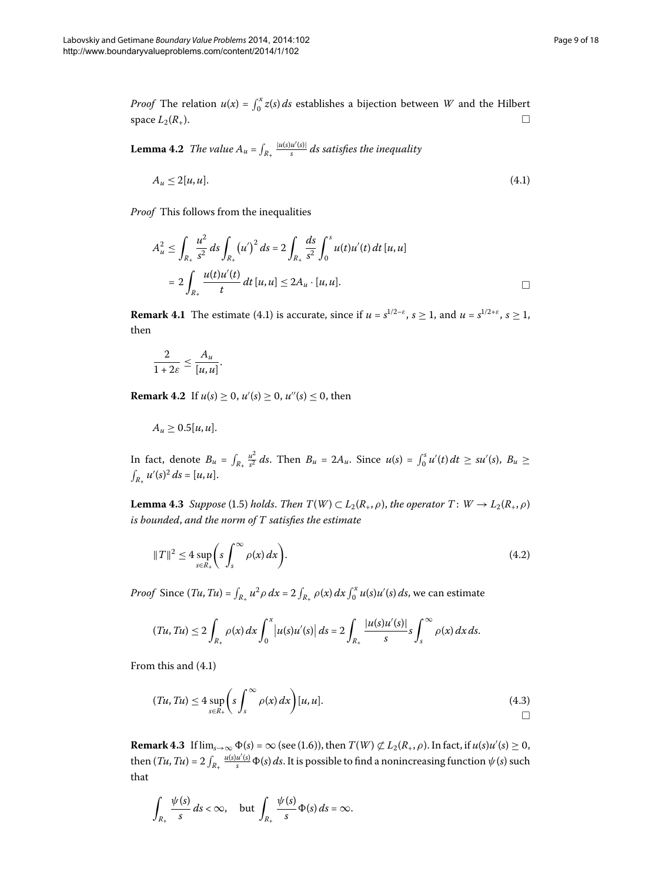*Proof* The relation  $u(x) = \int_0^x z(s) ds$  establishes a bijection between *W* and the Hilbert space  $L_2(R_+)$ .  $\Box$ 

**Lemma 4.2** The value  $A_u = \int_{R_+} \frac{|u(s)u'(s)|}{s} ds$  satisfies the inequality

<span id="page-8-4"></span>
$$
A_u \le 2[u, u]. \tag{4.1}
$$

*Proof* This follows from the inequalities

$$
A_{u}^{2} \leq \int_{R_{+}} \frac{u^{2}}{s^{2}} ds \int_{R_{+}} (u')^{2} ds = 2 \int_{R_{+}} \frac{ds}{s^{2}} \int_{0}^{s} u(t)u'(t) dt [u, u]
$$
  
= 
$$
2 \int_{R_{+}} \frac{u(t)u'(t)}{t} dt [u, u] \leq 2A_{u} \cdot [u, u].
$$

<span id="page-8-5"></span>**Remark 4.1** The estimate (4.1) is accurate, since if  $u = s^{1/2-\epsilon}$ ,  $s \ge 1$ , and  $u = s^{1/2+\epsilon}$ ,  $s \ge 1$ , then

$$
\frac{2}{1+2\varepsilon}\leq \frac{A_u}{[u,u]}.
$$

<span id="page-8-0"></span>**Remark 4.2** If  $u(s) \ge 0$ ,  $u'(s) \ge 0$ ,  $u''(s) \le 0$ , then

<span id="page-8-3"></span>
$$
A_u \geq 0.5[u, u].
$$

In fact, denote  $B_u = \int_{R_+}$  $\frac{u^2}{s^2}$  *ds*. Then  $B_u = 2A_u$ . Since  $u(s) = \int_0^s u'(t) dt \ge su'(s)$ ,  $B_u \ge$  $\int_{R_+} u'(s)^2 ds = [u, u].$ 

**Lemma 4.3** Suppose (1.5) holds. Then  $T(W) \subset L_2(R_+, \rho)$ , the operator  $T: W \to L_2(R_+, \rho)$ *is bounded*, *and the norm of T satisfies the estimate*

$$
||T||^2 \le 4 \sup_{s \in R_+} \left( s \int_s^\infty \rho(x) \, dx \right). \tag{4.2}
$$

*Proof* Since  $(Tu, Tu) = \int_{R_+} u^2 \rho \, dx = 2 \int_{R_+} \rho(x) \, dx \int_0^x u(s) u'(s) \, ds$ , we can estimate

<span id="page-8-2"></span>
$$
(Tu, Tu) \leq 2 \int_{R_+} \rho(x) dx \int_0^x \left| u(s) u'(s) \right| ds = 2 \int_{R_+} \frac{|u(s) u'(s)|}{s} s \int_s^\infty \rho(x) dx ds.
$$

<span id="page-8-1"></span>From this and  $(4.1)$  $(4.1)$  $(4.1)$ 

$$
(Tu, Tu) \le 4 \sup_{s \in R_+} \left( s \int_s^{\infty} \rho(x) dx \right) [u, u]. \tag{4.3}
$$

**Remark 4.3** If  $\lim_{s\to\infty} \Phi(s) = \infty$  (see (1.6)), then  $T(W) \not\subset L_2(R_+, \rho)$ . In fact, if  $u(s)u'(s) \ge 0$ , then  $(Tu, Tu) = 2 \int_{R_+} \frac{u(s)u'(s)}{s} \Phi(s) ds$ . It is possible to find a nonincreasing function  $\psi(s)$  such that

$$
\int_{R_+} \frac{\psi(s)}{s} ds < \infty, \quad \text{but } \int_{R_+} \frac{\psi(s)}{s} \Phi(s) ds = \infty.
$$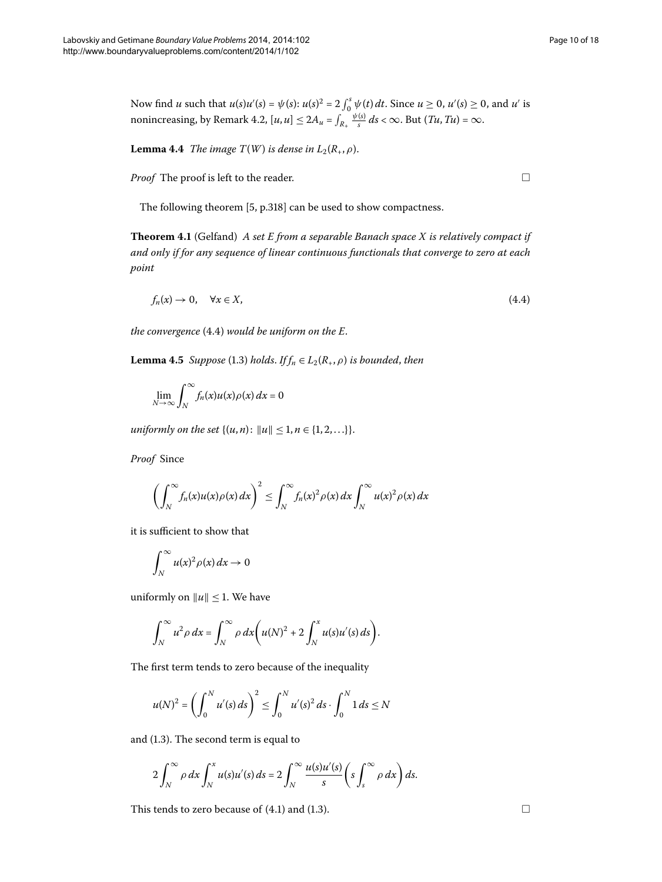Now find *u* such that  $u(s)u'(s) = \psi(s)$ :  $u(s)^2 = 2 \int_0^s \psi(t) dt$ . Since  $u \ge 0$ ,  $u'(s) \ge 0$ , and  $u'$  is nonincreasing, by Remark 4.2,  $[u, u] \le 2A_u = \int_{R_+} \frac{\psi(s)}{s} ds < \infty$ . But  $(Tu, Tu) = \infty$ .

<span id="page-9-1"></span>**Lemma 4.4** *The image T(W) is dense in*  $L_2(R_+,\rho)$ .

*Proof* The proof is left to the reader.

<span id="page-9-0"></span>The following theorem  $[5, p.318]$  $[5, p.318]$  can be used to show compactness.

<span id="page-9-2"></span>**Theorem .** (Gelfand) *A set E from a separable Banach space X is relatively compact if and only if for any sequence of linear continuous functionals that converge to zero at each point*

$$
f_n(x) \to 0, \quad \forall x \in X,\tag{4.4}
$$

*the convergence* (4.4) *would be uniform on the E.* 

**Lemma 4.5** *Suppose* (1.3) *holds*. *If*  $f_n \in L_2(R_+, \rho)$  *is bounded*, *then* 

$$
\lim_{N \to \infty} \int_{N}^{\infty} f_n(x) u(x) \rho(x) dx = 0
$$

*uniformly on the set*  $\{(u, n): ||u|| \leq 1, n \in \{1, 2, ...\} \}.$ 

*Proof* Since

$$
\left(\int_N^{\infty} f_n(x)u(x)\rho(x)\,dx\right)^2 \leq \int_N^{\infty} f_n(x)^2\rho(x)\,dx\int_N^{\infty} u(x)^2\rho(x)\,dx
$$

it is sufficient to show that

$$
\int_N^{\infty} u(x)^2 \rho(x) dx \to 0
$$

uniformly on  $||u|| \leq 1$ . We have

$$
\int_N^{\infty} u^2 \rho \, dx = \int_N^{\infty} \rho \, dx \bigg( u(N)^2 + 2 \int_N^x u(s) u'(s) \, ds \bigg).
$$

The first term tends to zero because of the inequality

$$
u(N)^{2} = \left(\int_{0}^{N} u'(s) ds\right)^{2} \le \int_{0}^{N} u'(s)^{2} ds \cdot \int_{0}^{N} 1 ds \le N
$$

and  $(1.3)$ . The second term is equal to

$$
2\int_N^{\infty} \rho \, dx \int_N^x u(s) u'(s) \, ds = 2 \int_N^{\infty} \frac{u(s) u'(s)}{s} \left( s \int_s^{\infty} \rho \, dx \right) ds.
$$

This tends to zero because of  $(4.1)$  $(4.1)$  $(4.1)$  and  $(1.3)$ .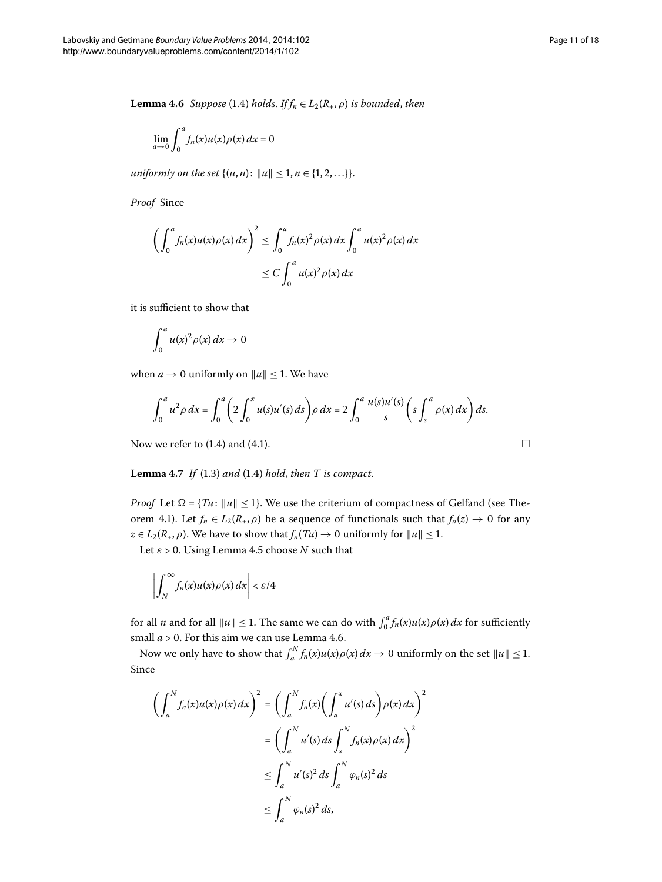<span id="page-10-1"></span>**Lemma 4.6** *Suppose* (1.4) *holds*. *If*<sub> $n$ </sub>  $\in$  *L*<sub>2</sub>( $R$ <sub>+</sub>,  $\rho$ ) *is bounded*, *then* 

$$
\lim_{a \to 0} \int_0^a f_n(x) u(x) \rho(x) \, dx = 0
$$

*uniformly on the set*  $\{(u, n): ||u|| < 1, n \in \{1, 2, ...\} \}.$ 

*Proof* Since

$$
\left(\int_0^a f_n(x)u(x)\rho(x)\,dx\right)^2 \le \int_0^a f_n(x)^2\rho(x)\,dx \int_0^a u(x)^2\rho(x)\,dx
$$
  

$$
\le C \int_0^a u(x)^2\rho(x)\,dx
$$

it is sufficient to show that

$$
\int_0^a u(x)^2 \rho(x) \, dx \to 0
$$

<span id="page-10-0"></span>when  $a \to 0$  uniformly on  $||u|| \le 1$ . We have

$$
\int_0^a u^2 \rho \, dx = \int_0^a \left( 2 \int_0^x u(s) u'(s) \, ds \right) \rho \, dx = 2 \int_0^a \frac{u(s) u'(s)}{s} \left( s \int_s^a \rho(x) \, dx \right) ds.
$$

Now we refer to  $(1.4)$  and  $(4.1)$ .

**Lemma 4[.](#page-1-1)7** If (1.3) and (1.4) hold, then  $T$  is compact.

*Proof* Let  $\Omega$  = {*Tu*:  $||u|| \le 1$ }. We use the criterium of compactness of Gelfand (see The-orem 4[.](#page-9-1)1). Let  $f_n \in L_2(R_+,\rho)$  be a sequence of functionals such that  $f_n(z) \to 0$  for any  $z \in L_2(R_+, \rho)$ . We have to show that  $f_n(Tu) \to 0$  uniformly for  $||u|| \leq 1$ .

Let  $\varepsilon > 0$ [.](#page-9-2) Using Lemma 4.5 choose *N* such that

$$
\left|\int_N^\infty f_n(x)u(x)\rho(x)\,dx\right|<\varepsilon/4
$$

for all *n* and for all  $||u|| \le 1$ . The same we can do with  $\int_0^a f_n(x)u(x)\rho(x) dx$  for sufficiently small  $a > 0$ [.](#page-10-1) For this aim we can use Lemma 4.6.

Now we only have to show that  $\int_a^N f_n(x)u(x)\rho(x) dx \to 0$  uniformly on the set  $||u|| \leq 1$ . Since

$$
\left(\int_{a}^{N} f_n(x)u(x)\rho(x) dx\right)^2 = \left(\int_{a}^{N} f_n(x)\left(\int_{a}^{x} u'(s) ds\right)\rho(x) dx\right)^2
$$

$$
= \left(\int_{a}^{N} u'(s) ds \int_{s}^{N} f_n(x)\rho(x) dx\right)^2
$$

$$
\leq \int_{a}^{N} u'(s)^2 ds \int_{a}^{N} \varphi_n(s)^2 ds
$$

$$
\leq \int_{a}^{N} \varphi_n(s)^2 ds,
$$

 $\Box$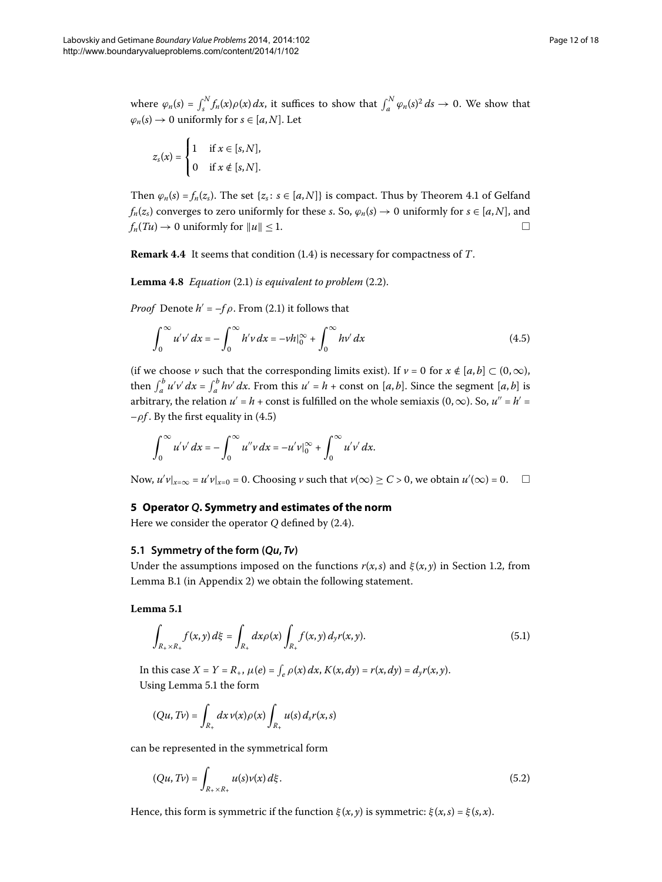where  $\varphi_n(s) = \int_s^N f_n(x) \rho(x) dx$ , it suffices to show that  $\int_a^N \varphi_n(s)^2 ds \to 0$ . We show that  $\varphi_n(s) \to 0$  uniformly for  $s \in [a, N]$ . Let

$$
z_s(x) = \begin{cases} 1 & \text{if } x \in [s, N], \\ 0 & \text{if } x \notin [s, N]. \end{cases}
$$

<span id="page-11-0"></span>Then  $\varphi_n(s) = f_n(z_s)$ [.](#page-9-1) The set  $\{z_s : s \in [a, N]\}$  is compact. Thus by Theorem 4.1 of Gelfand *f<sub>n</sub>*(*z<sub>s</sub>*) converges to zero uniformly for these *s*. So,  $\varphi_n(s) \to 0$  uniformly for  $s \in [a, N]$ , and  $f_n(Tu) \to 0$  uniformly for  $||u|| \le 1$ .

**Remark 4.4** It seems that condition (1.4) is necessary for compactness of *T*.

**Lemma 4.8** *Equation* (2.1) *is equivalent to problem* (2.2).

*Proof* Denote  $h' = -f \rho$ [.](#page-3-1) From (2.1) it follows that

<span id="page-11-3"></span>
$$
\int_0^\infty u'v' dx = -\int_0^\infty h'v dx = -vh|_0^\infty + \int_0^\infty hv' dx \tag{4.5}
$$

<span id="page-11-1"></span>(if we choose *v* such that the corresponding limits exist). If  $v = 0$  for  $x \notin [a, b] \subset (0, \infty)$ , then  $\int_a^b u'v' dx = \int_a^b hv' dx$ . From this  $u' = h + \text{const}$  on [*a*, *b*]. Since the segment [*a*, *b*] is arbitrary, the relation  $u' = h + \text{const}$  is fulfilled on the whole semiaxis  $(0, \infty)$ . So,  $u'' = h' =$  $-\rho f$ . By the first equality in (4.5)

$$
\int_0^{\infty} u'v' dx = - \int_0^{\infty} u''v dx = -u'v|_0^{\infty} + \int_0^{\infty} u'v' dx.
$$

Now,  $u'v|_{x=\infty} = u'v|_{x=0} = 0$ . Choosing  $v$  such that  $v(\infty) \ge C > 0$ , we obtain  $u'(\infty) = 0$ .

#### <span id="page-11-4"></span>**5 Operator** *Q***. Symmetry and estimates of the norm**

Here we consider the operator  $Q$  defined by  $(2.4)$  $(2.4)$  $(2.4)$ .

#### **5.1 Symmetry of the form (***Qu***,** *Tv***)**

Under the assumptions imposed on the functions  $r(x, s)$  and  $\xi(x, y)$  in Section 1[.](#page-1-6)2, from Lemma [B.](#page-16-3)1 (in Appendix 2) we obtain the following statement.

Lemma 5.1

$$
\int_{R_+ \times R_+} f(x, y) \, d\xi = \int_{R_+} dx \rho(x) \int_{R_+} f(x, y) \, d_y r(x, y). \tag{5.1}
$$

In this case  $X = Y = R_+$ ,  $\mu(e) = \int_e \rho(x) dx$ ,  $K(x, dy) = r(x, dy) = d_y r(x, y)$ . Using Lemma 5[.](#page-11-4)1 the form

<span id="page-11-2"></span>
$$
(Qu, Tv) = \int_{R_+} dx \, v(x) \rho(x) \int_{R_+} u(s) \, d_s r(x, s)
$$

can be represented in the symmetrical form

$$
(Qu, Tv) = \int_{R_+ \times R_+} u(s)v(x) \, d\xi. \tag{5.2}
$$

Hence, this form is symmetric if the function  $\xi(x, y)$  is symmetric:  $\xi(x, s) = \xi(s, x)$ .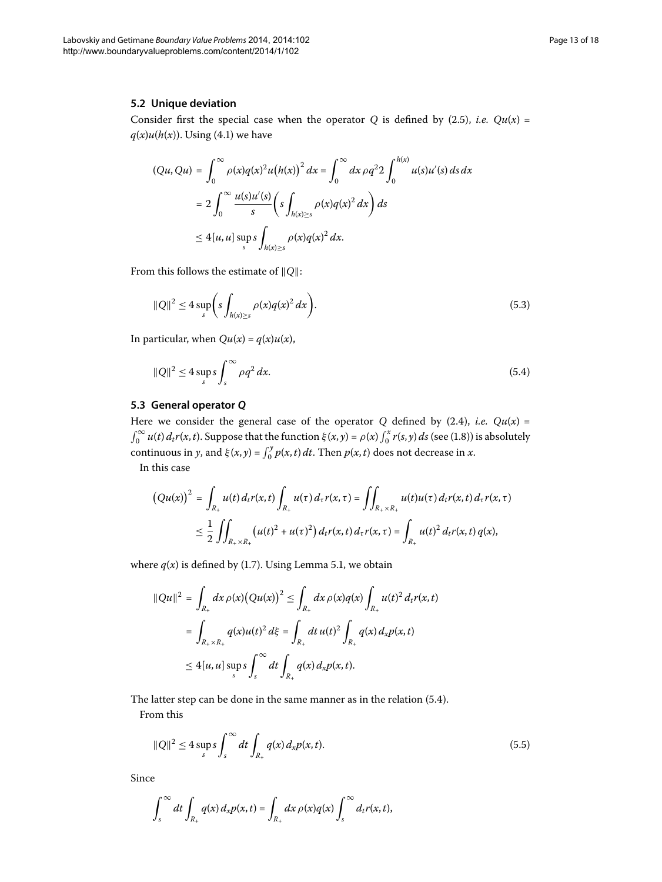#### **5.2 Unique deviation**

Consider first the special case when the operator *Q* is defined by (2.5), *i.e.*  $Qu(x)$  =  $q(x)u(h(x))$ . Using (4.1) we have

<span id="page-12-1"></span>
$$
(Qu, Qu) = \int_0^\infty \rho(x)q(x)^2 u(h(x))^2 dx = \int_0^\infty dx \,\rho q^2 2 \int_0^{h(x)} u(s)u'(s) ds dx
$$
  
= 
$$
2 \int_0^\infty \frac{u(s)u'(s)}{s} \left( s \int_{h(x)\geq s} \rho(x)q(x)^2 dx \right) ds
$$
  

$$
\leq 4[u, u] \sup_s s \int_{h(x)\geq s} \rho(x)q(x)^2 dx.
$$

From this follows the estimate of  $||Q||$ :

<span id="page-12-0"></span>
$$
\|Q\|^2 \le 4 \sup_s \biggl( s \int_{h(x)\ge s} \rho(x) q(x)^2 dx \biggr). \tag{5.3}
$$

In particular, when  $Qu(x) = q(x)u(x)$ ,

$$
||Q||^2 \le 4 \sup_s s \int_s^\infty \rho q^2 dx. \tag{5.4}
$$

# **5.3 General operator** *Q*

Here we consider the general case of the operator  $Q$  defined by (2.4), *i.e.*  $Qu(x) =$  $\int_0^\infty u(t) d_t r(x,t)$ . Suppose that the function  $\xi(x,y) = \rho(x) \int_0^x r(s,y) ds$  (see (1.8)) is absolutely continuous in *y*, and  $\xi(x, y) = \int_0^y p(x, t) dt$ . Then  $p(x, t)$  does not decrease in *x*. In this case

$$
\begin{aligned} \left(Qu(x)\right)^2 &= \int_{R_+} u(t) \, d_t r(x,t) \int_{R_+} u(\tau) \, d_\tau r(x,\tau) = \iint_{R_+ \times R_+} u(t) u(\tau) \, d_t r(x,t) \, d_\tau r(x,\tau) \\ &\leq \frac{1}{2} \iint_{R_+ \times R_+} \left(u(t)^2 + u(\tau)^2\right) d_t r(x,t) \, d_\tau r(x,\tau) = \int_{R_+} u(t)^2 \, d_t r(x,t) \, q(x), \end{aligned}
$$

where  $q(x)$  is defined by (1[.](#page-11-4)7). Using Lemma 5.1, we obtain

$$
||Qu||2 = \int_{R_{+}} dx \,\rho(x) (Qu(x))^{2} \leq \int_{R_{+}} dx \,\rho(x) q(x) \int_{R_{+}} u(t)^{2} d_{t} r(x, t)
$$
  
= 
$$
\int_{R_{+} \times R_{+}} q(x) u(t)^{2} d\xi = \int_{R_{+}} dt \, u(t)^{2} \int_{R_{+}} q(x) d_{x} p(x, t)
$$
  

$$
\leq 4[u, u] \sup_{s} s \int_{s}^{\infty} dt \int_{R_{+}} q(x) d_{x} p(x, t).
$$

The latter step can be done in the same manner as in the relation  $(5.4)$ . From this

$$
||Q||^{2} \leq 4 \sup_{s} s \int_{s}^{\infty} dt \int_{R_{+}} q(x) d_{x} p(x, t).
$$
 (5.5)

Since

$$
\int_s^{\infty} dt \int_{R_+} q(x) d_x p(x,t) = \int_{R_+} dx \, \rho(x) q(x) \int_s^{\infty} d_t r(x,t),
$$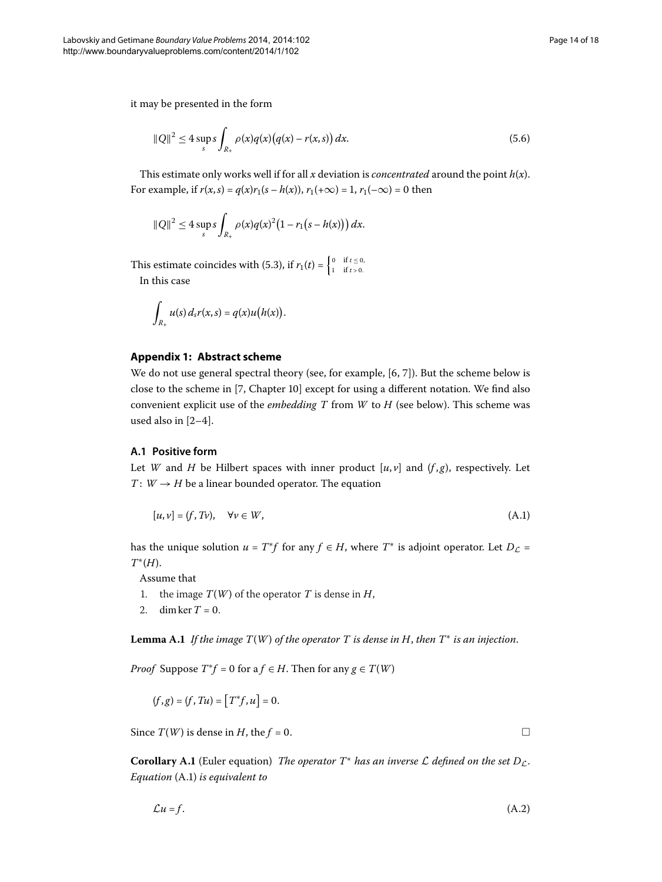it may be presented in the form

<span id="page-13-3"></span>
$$
||Q||^2 \le 4 \sup_{s} s \int_{R_+} \rho(x) q(x) (q(x) - r(x, s)) dx.
$$
 (5.6)

This estimate only works well if for all  $x$  deviation is *concentrated* around the point  $h(x)$ . For example, if  $r(x, s) = q(x)r_1(s - h(x))$ ,  $r_1(+\infty) = 1$ ,  $r_1(-\infty) = 0$  then

$$
||Q||^2 \le 4 \sup_{s} s \int_{R_+} \rho(x) q(x)^2 (1 - r_1(s - h(x))) dx.
$$

<span id="page-13-2"></span>This estimate coincides with (5.3), if  $r_1(t) = \begin{cases} 0 & \text{if } t \leq 0, \\ 1 & \text{if } t > 0. \end{cases}$ In this case

$$
\int_{R_+} u(s) d_s r(x,s) = q(x) u(h(x)).
$$

#### **Appendix 1: Abstract scheme**

We do not use general spectral theory (see, for example,  $[6, 7]$ ). But the scheme below is close to the scheme in [\[](#page-17-9)7, Chapter 10] except for using a different notation. We find also convenient explicit use of the *embedding T* from *W* to *H* (see below). This scheme was used also in  $[2-4]$  $[2-4]$ .

#### **A.1 Positive form**

Let *W* and *H* be Hilbert spaces with inner product  $[u, v]$  and  $(f, g)$ , respectively. Let *T* :  $W \rightarrow H$  be a linear bounded operator. The equation

<span id="page-13-4"></span>
$$
[u, v] = (f, Tv), \quad \forall v \in W,
$$
\n
$$
(A.1)
$$

<span id="page-13-1"></span>has the unique solution  $u = T^*f$  for any  $f \in H$ , where  $T^*$  is adjoint operator. Let  $D_{\mathcal{L}} =$ *T*∗(*H*).

Assume that

- 1. the image  $T(W)$  of the operator  $T$  is dense in  $H$ ,
- 2. dim ker  $T = 0$ .

**Lemma A.1** If the image  $T(W)$  of the operator T is dense in H, then  $T^*$  is an injection.

*Proof* Suppose  $T^*f = 0$  for a  $f \in H$ . Then for any  $g \in T(W)$ 

<span id="page-13-0"></span> $(f, g) = (f, Tu) = [T^*f, u] = 0.$ 

Since  $T(W)$  is dense in *H*, the *f* = 0.

**Corollary A.1** (Euler equation) *The operator*  $T^*$  *has an inverse*  $\mathcal L$  *defined on the set*  $D_{\mathcal L}$ . *Equation* [\(A.](#page-13-4)) *is equivalent to*

$$
\mathcal{L}u = f. \tag{A.2}
$$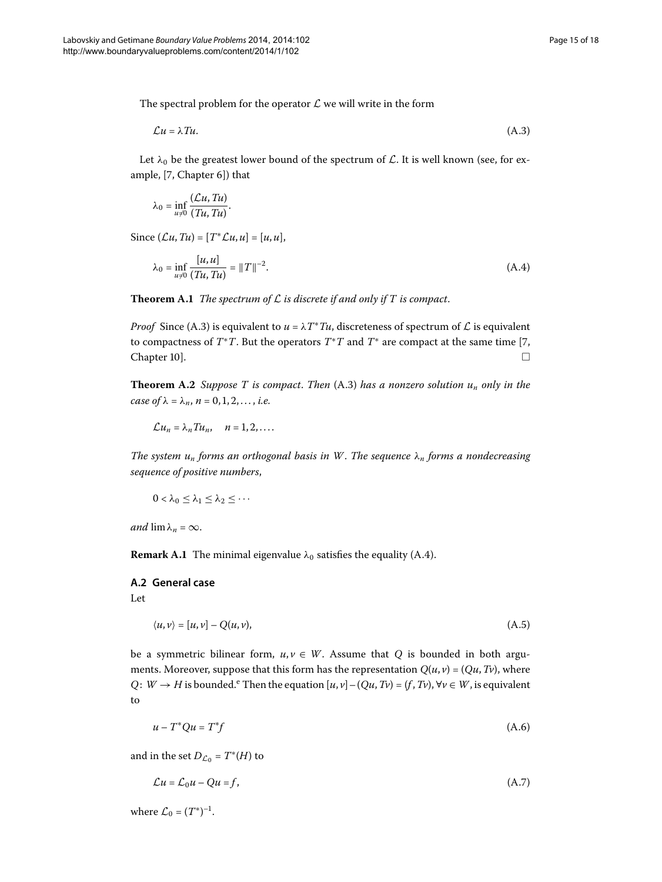The spectral problem for the operator  $\mathcal L$  we will write in the form

<span id="page-14-2"></span>
$$
\mathcal{L}u = \lambda Tu. \tag{A.3}
$$

Let  $\lambda_0$  be the greatest lower bound of the spectrum of  $\mathcal{L}$ . It is well known (see, for ex-ample, [\[](#page-17-9)7, Chapter 6]) that

<span id="page-14-1"></span><span id="page-14-0"></span>
$$
\lambda_0 = \inf_{u \neq 0} \frac{(\mathcal{L}u, Tu)}{(Tu, Tu)}.
$$

Since  $(Lu, Tu) = [T^*Lu, u] = [u, u],$ 

$$
\lambda_0 = \inf_{u \neq 0} \frac{[u, u]}{(Tu, Tu)} = ||T||^{-2}.
$$
\n(A.4)

**Theorem A.1** *The spectrum of*  $\mathcal L$  *is discrete if and only if*  $T$  *is compact.* 

*Proof* Since (A.3) is equivalent to  $u = \lambda T^* T u$ , discreteness of spectrum of  $\mathcal L$  is equivalent to compactness of  $T^*T$ . But the operators  $T^*T$  and  $T^*$  are compact at the same time [7,  $Chapter 10$ .

**Theorem [A.](#page-14-2)2** Suppose T is compact. Then  $(A.3)$  has a nonzero solution  $u_n$  only in the *case of*  $\lambda = \lambda_n$ ,  $n = 0, 1, 2, ..., i.e.$ 

 $\mathcal{L}u_n = \lambda_n T u_n, \quad n = 1, 2, \dots$ 

*The system un forms an orthogonal basis in W*. *The sequence λ<sup>n</sup> forms a nondecreasing sequence of positive numbers*,

$$
0<\lambda_0\leq \lambda_1\leq \lambda_2\leq \cdots
$$

*and*  $\lim_{n \to \infty} \lambda_n = \infty$ .

**Remark A.1** The minimal eigenvalue  $\lambda_0$  satisfies the equality [\(A.](#page-14-1)4).

# **A.2 General case**

Let

$$
\langle u, v \rangle = [u, v] - Q(u, v), \tag{A.5}
$$

be a symmetric bilinear form,  $u, v \in W$ . Assume that *Q* is bounded in both arguments. Moreover, suppose that this form has the representation  $Q(u, v) = (Qu, Tv)$ , where *Q*: *W*  $\rightarrow$  *H* is bound[e](#page-17-10)d.<sup>e</sup> Then the equation  $[u, v] - (Qu, Tv) = (f, Tv)$ ,  $\forall v \in W$ , is equivalent to

$$
u - T^* Q u = T^* f \tag{A.6}
$$

and in the set  $D_{\mathcal{L}_0} = T^*(H)$  to

$$
\mathcal{L}u = \mathcal{L}_0 u - Qu = f,\tag{A.7}
$$

where  $\mathcal{L}_0 = (T^*)^{-1}$ .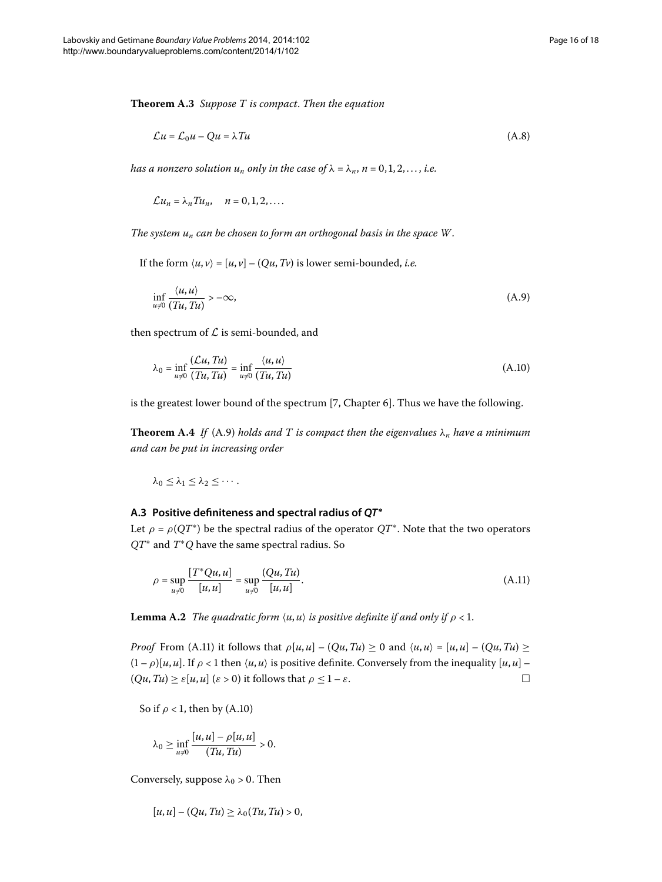<span id="page-15-0"></span>
$$
\mathcal{L}u = \mathcal{L}_0 u - Qu = \lambda T u \tag{A.8}
$$

*has a nonzero solution*  $u_n$  *only in the case of*  $\lambda = \lambda_n$ ,  $n = 0, 1, 2, \ldots$ , *i.e.* 

<span id="page-15-2"></span> $\mathcal{L}u_n = \lambda_n T u_n, \quad n = 0, 1, 2, \dots$ 

*The system un can be chosen to form an orthogonal basis in the space W*.

If the form  $\langle u, v \rangle = [u, v] - (Qu, Tv)$  is lower semi-bounded, *i.e.* 

<span id="page-15-1"></span>
$$
\inf_{u \neq 0} \frac{\langle u, u \rangle}{(Tu, Tu)} > -\infty,
$$
\n(A.9)

then spectrum of  $\mathcal L$  is semi-bounded, and

$$
\lambda_0 = \inf_{u \neq 0} \frac{(\mathcal{L}u, Tu)}{(Tu, Tu)} = \inf_{u \neq 0} \frac{\langle u, u \rangle}{(Tu, Tu)}
$$
(A.10)

is the greatest lower bound of the spectrum [7[,](#page-17-9) Chapter 6]. Thus we have the following.

**Theorem [A.](#page-15-2)4** If (A.9) holds and T is compact then the eigenvalues  $\lambda_n$  have a minimum *and can be put in increasing order*

<span id="page-15-3"></span>
$$
\lambda_0\leq \lambda_1\leq \lambda_2\leq \cdots.
$$

#### **A.3 Positive definiteness and spectral radius of** *QT***<sup>∗</sup>**

Let  $\rho = \rho(QT^*)$  be the spectral radius of the operator  $QT^*$ . Note that the two operators *QT*<sup>∗</sup> and *T*∗*Q* have the same spectral radius. So

$$
\rho = \sup_{u \neq 0} \frac{[T^*Qu, u]}{[u, u]} = \sup_{u \neq 0} \frac{(Qu, Tu)}{[u, u]}.
$$
\n(A.11)

**Lemma A.2** *The quadratic form*  $\langle u, u \rangle$  *is positive definite if and only if*  $\rho < 1$ *.* 

*Proof* From (A.1) it follows that  $\rho[u, u] - (Qu, Tu) \ge 0$  and  $\langle u, u \rangle = [u, u] - (Qu, Tu) \ge$  $(1 - \rho)[u, u]$ . If  $\rho < 1$  then  $\langle u, u \rangle$  is positive definite. Conversely from the inequality  $[u, u]$  –  $(Qu, Tu) \ge \varepsilon [u, u]$  ( $\varepsilon > 0$ ) it follows that  $\rho \le 1 - \varepsilon$ .

So if  $\rho$  < 1, then by (A.10)

$$
\lambda_0 \geq \inf_{u \neq 0} \frac{[u, u] - \rho[u, u]}{(Tu, Tu)} > 0.
$$

Conversely, suppose  $\lambda_0 > 0$ . Then

$$
[u,u] - (Qu,Tu) \geq \lambda_0(Tu,Tu) > 0,
$$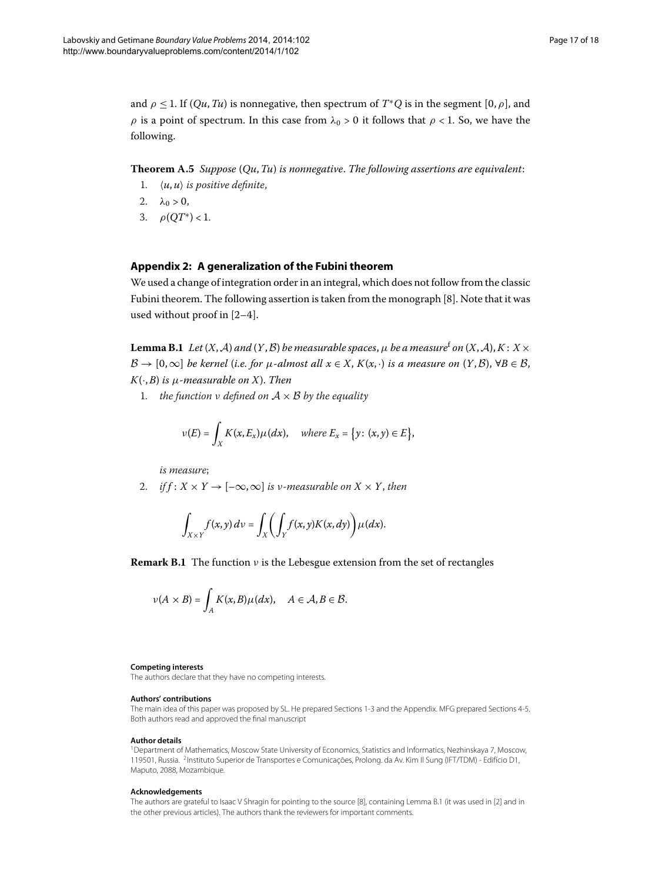<span id="page-16-2"></span>and  $\rho \le 1$ . If  $(Qu, Tu)$  is nonnegative, then spectrum of  $T^*Q$  is in the segment  $[0, \rho]$ , and *ρ* is a point of spectrum. In this case from  $\lambda_0 > 0$  it follows that *ρ* < 1. So, we have the following.

<span id="page-16-4"></span>**Theorem A.** *Suppose* (*Qu*,*Tu*) *is nonnegative*. *The following assertions are equivalent*:

- 1.  $\langle u, u \rangle$  *is positive definite,*
- 2.  $\lambda_0 > 0$ ,
- 3.  $\rho(OT^*) < 1$ .

#### <span id="page-16-3"></span>**Appendix 2: A generalization of the Fubini theorem**

We used a change of integration order in an integral, which does not follow from the classic Fubini theorem. The following assertion is taken from the monograph  $[8]$  $[8]$ . Note that it was used without proof in  $[2-4]$  $[2-4]$ .

**Lemma B.1** Let  $(X, \mathcal{A})$  and  $(Y, \mathcal{B})$  be measurable spaces,  $\mu$  be a measure<sup>[f](#page-17-12)</sup> on  $(X, \mathcal{A}), K : X \times$  $B \to [0,\infty]$  *be kernel (i.e. for*  $\mu$ *-almost all*  $x \in X$ ,  $K(x, \cdot)$  *is a measure on*  $(Y, \mathcal{B})$ ,  $\forall B \in \mathcal{B}$ , *K*(·,*B*) *is μ-measurable on X*). *Then*

. *the function ν defined on* A × B *by the equality*

$$
\nu(E) = \int_X K(x, E_x) \mu(dx), \quad \text{where } E_x = \{y \colon (x, y) \in E\},
$$

*is measure*;

2. *if*  $f: X \times Y \to [-\infty, \infty]$  *is v-measurable on*  $X \times Y$ *, then* 

$$
\int_{X\times Y} f(x,y)\,dy = \int_X \biggl(\int_Y f(x,y)K(x,dy)\biggr)\mu(dx).
$$

**Remark B.1** The function *ν* is the Lebesgue extension from the set of rectangles

$$
\nu(A \times B) = \int_A K(x, B) \mu(dx), \quad A \in \mathcal{A}, B \in \mathcal{B}.
$$

#### <span id="page-16-1"></span><span id="page-16-0"></span>**Competing interests**

The authors declare that they have no competing interests.

#### **Authors' contributions**

The main idea of this paper was proposed by SL. He prepared Sections [1](#page-0-3)-[3](#page-6-3) and the Appendix. MFG prepared Sections [4](#page-7-1)[-5.](#page-11-1) Both authors read and approved the final manuscript

#### **Author details**

1Department of Mathematics, Moscow State University of Economics, Statistics and Informatics, Nezhinskaya 7, Moscow, 119501, Russia. 2Instituto Superior de Transportes e Comunicações, Prolong. da Av. Kim Il Sung (IFT/TDM) - Edifício D1, Maputo, 2088, Mozambique.

#### **Acknowledgements**

The authors are grateful to Isaac V Shragin for pointing to the source [\[8](#page-17-11)], containing Lemma [B.1](#page-16-3) (it was used in [\[2\]](#page-17-3) and in the other previous articles). The authors thank the reviewers for important comments.